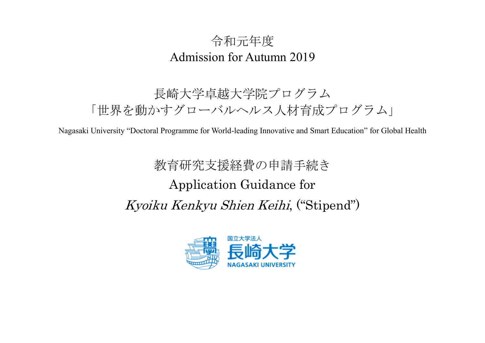# 令和元年度 Admission for Autumn 2019

# 長崎大学卓越大学院プログラム 「世界を動かすグローバルヘルス人材育成プログラム」

Nagasaki University "Doctoral Programme for World-leading Innovative and Smart Education" for Global Health

# 教育研究支援経費の申請手続き Application Guidance for Kyoiku Kenkyu Shien Keihi, ("Stipend")

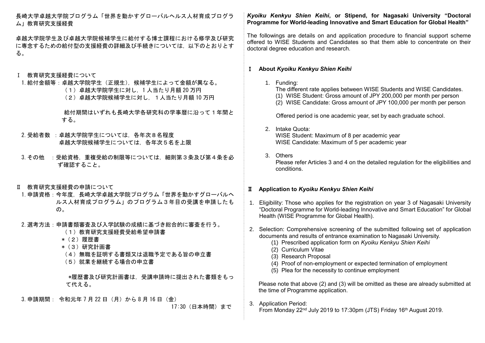長崎大学卓越大学院プログラム「世界を動かすグローバルヘルス人材育成プログラ ム」教育研究支援経費

卓越大学院学生及び卓越大学院候補学生に給付する博士課程における修学及び研究 に専念するための給付型の支援経費の詳細及び手続きについては,以下のとおりとす る。

# Ⅰ 教育研究支援経費について

- 1.給付金額等:卓越大学院学生(正規生),候補学生によって金額が異なる。
	- (1)卓越大学院学生に対し,1 人当たり月額 20 万円
	- (2)卓越大学院候補学生に対し,1人当たり月額 10 万円

給付期間はいずれも長崎大学各研究科の学事暦に沿って1年間と する。

- 2.受給者数 :卓越大学院学生については,各年次8名程度 卓越大学院候補学生については,各年次5名を上限
- 3. その他 : 受給資格, 重複受給の制限等については, 細則第3条及び第4条を必 ず確認すること。
- Ⅱ 教育研究支援経費の申請について
- 1.申請資格:今年度,長崎大学卓越大学院プログラム「世界を動かすグローバルヘ ルス人材育成プログラム」のプログラム3年目の受講を申請したも  $\mathcal{D}_{\alpha}$
- 2.選考方法:申請書類審査及び入学試験の成績に基づき総合的に審査を行う。
	- (1)教育研究支援経費受給希望申請書
	- \*(2)履歴書
	- \*(3)研究計画書
	- (4)無職を証明する書類又は退職予定である旨の申立書
	- (5)就業を継続する場合の申立書

\*履歴書及び研究計画書は,受講申請時に提出された書類をもっ て代える。

3.申請期間: 令和元年 7 月 22 日(月)から 8 月 16 日(金)

17:30(日本時間)まで

# *Kyoiku Kenkyu Shien Keihi***, or Stipend, for Nagasaki University "Doctoral Programme for World-leading Innovative and Smart Education for Global Health"**

The followings are details on and application procedure to financial support scheme offered to WISE Students and Candidates so that them able to concentrate on their doctoral degree education and research.

## Ⅰ **About** *Kyoiku Kenkyu Shien Keihi*

1. Funding:

The different rate applies between WISE Students and WISE Candidates. (1) WISE Student: Gross amount of JPY 200,000 per month per person (2) WISE Candidate: Gross amount of JPY 100,000 per month per person

Offered period is one academic year, set by each graduate school.

#### 2. Intake Quota: WISE Student: Maximum of 8 per academic year WISE Candidate: Maximum of 5 per academic year

3. Others Please refer Articles 3 and 4 on the detailed regulation for the eligibilities and conditions.

## Ⅱ **Application to** *Kyoiku Kenkyu Shien Keihi*

- 1. Eligibility: Those who applies for the registration on year 3 of Nagasaki University "Doctoral Programme for World-leading Innovative and Smart Education" for Global Health (WISE Programme for Global Health).
- 2. Selection: Comprehensive screening of the submitted following set of application documents and results of entrance examination to Nagasaki University.
	- (1) Prescribed application form on *Kyoiku Kenkyu Shien Keihi*
	- (2) Curriculum Vitae
	- (3) Research Proposal
	- (4) Proof of non-employment or expected termination of employment
	- (5) Plea for the necessity to continue employment

 Please note that above (2) and (3) will be omitted as these are already submitted at the time of Programme application.

3. Application Period:

From Monday 22nd July 2019 to 17:30pm (JTS) Friday 16th August 2019.